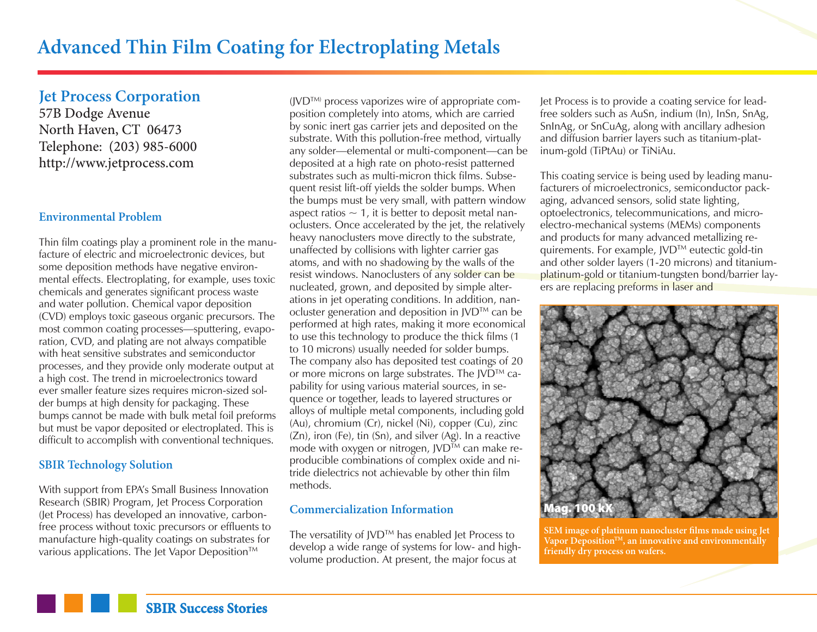**Jet Process Corporation**

57B Dodge Avenue North Haven, CT 06473 Telephone: (203) 985-6000 http://www.jetprocess.com

## **Environmental Problem**

Thin film coatings play a prominent role in the manufacture of electric and microelectronic devices, but some deposition methods have negative environmental effects. Electroplating, for example, uses toxic chemicals and generates significant process waste and water pollution. Chemical vapor deposition (CVD) employs toxic gaseous organic precursors. The most common coating processes—sputtering, evaporation, CVD, and plating are not always compatible with heat sensitive substrates and semiconductor processes, and they provide only moderate output at a high cost. The trend in microelectronics toward ever smaller feature sizes requires micron-sized solder bumps at high density for packaging. These bumps cannot be made with bulk metal foil preforms but must be vapor deposited or electroplated. This is difficult to accomplish with conventional techniques.

#### **SBIR Technology Solution**

With support from EPA's Small Business Innovation Research (SBIR) Program, Jet Process Corporation (Jet Process) has developed an innovative, carbonfree process without toxic precursors or effluents to manufacture high-quality coatings on substrates for various applications. The Jet Vapor Deposition™

(JVDTM) process vaporizes wire of appropriate composition completely into atoms, which are carried by sonic inert gas carrier jets and deposited on the substrate. With this pollution-free method, virtually any solder—elemental or multi-component—can be deposited at a high rate on photo-resist patterned substrates such as multi-micron thick films. Subsequent resist lift-off yields the solder bumps. When the bumps must be very small, with pattern window aspect ratios  $\sim$  1, it is better to deposit metal nanoclusters. Once accelerated by the jet, the relatively heavy nanoclusters move directly to the substrate, unaffected by collisions with lighter carrier gas atoms, and with no shadowing by the walls of the resist windows. Nanoclusters of any solder can be nucleated, grown, and deposited by simple alterations in jet operating conditions. In addition, nanocluster generation and deposition in JVD™ can be performed at high rates, making it more economical to use this technology to produce the thick films (1 to 10 microns) usually needed for solder bumps. The company also has deposited test coatings of 20 or more microns on large substrates. The JVD™ capability for using various material sources, in sequence or together, leads to layered structures or alloys of multiple metal components, including gold (Au), chromium (Cr), nickel (Ni), copper (Cu), zinc (Zn), iron (Fe), tin (Sn), and silver (Ag). In a reactive mode with oxygen or nitrogen,  $JVD^{TM}$  can make reproducible combinations of complex oxide and nitride dielectrics not achievable by other thin film methods.

### **Commercialization Information**

The versatility of JVD™ has enabled Jet Process to develop a wide range of systems for low- and highvolume production. At present, the major focus at

Jet Process is to provide a coating service for leadfree solders such as AuSn, indium (In), InSn, SnAg, SnInAg, or SnCuAg, along with ancillary adhesion and diffusion barrier layers such as titanium-platinum-gold (TiPtAu) or TiNiAu.

This coating service is being used by leading manufacturers of microelectronics, semiconductor packaging, advanced sensors, solid state lighting, optoelectronics, telecommunications, and microelectro-mechanical systems (MEMs) components and products for many advanced metallizing requirements. For example, JVD™ eutectic gold-tin and other solder layers (1-20 microns) and titaniumplatinum-gold or titanium-tungsten bond/barrier layers are replacing preforms in laser and



**SEM image of platinum nanocluster films made using Jet Vapor DepositionTM, an innovative and environmentally friendly dry process on wafers.**